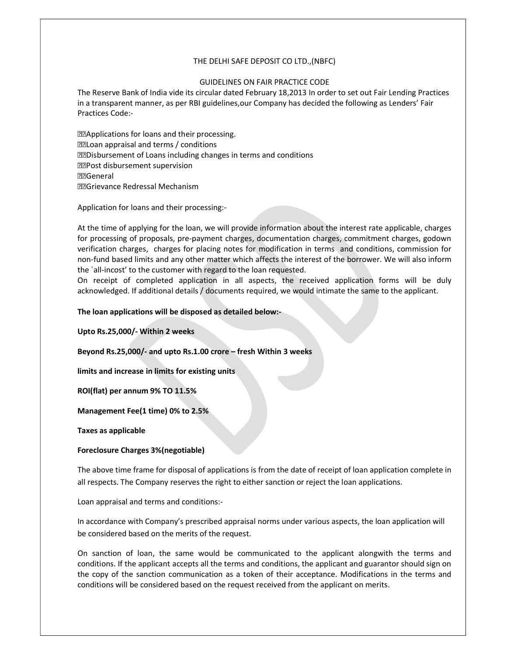# THE DELHI SAFE DEPOSIT CO LTD.,(NBFC)

# GUIDELINES ON FAIR PRACTICE CODE

The Reserve Bank of India vide its circular dated February 18,2013 In order to set out Fair Lending Practices in a transparent manner, as per RBI guidelines,our Company has decided the following as Lenders' Fair Practices Code:-

**MApplications for loans and their processing.** Loan appraisal and terms / conditions **DED** isbursement of Loans including changes in terms and conditions PPost disbursement supervision General Grievance Redressal Mechanism

Application for loans and their processing:-

At the time of applying for the loan, we will provide information about the interest rate applicable, charges for processing of proposals, pre-payment charges, documentation charges, commitment charges, godown verification charges, charges for placing notes for modification in terms and conditions, commission for non-fund based limits and any other matter which affects the interest of the borrower. We will also inform the `all-incost' to the customer with regard to the loan requested.

On receipt of completed application in all aspects, the received application forms will be duly acknowledged. If additional details / documents required, we would intimate the same to the applicant.

The loan applications will be disposed as detailed below:-

Upto Rs.25,000/- Within 2 weeks

Beyond Rs.25,000/- and upto Rs.1.00 crore – fresh Within 3 weeks

limits and increase in limits for existing units

ROI(flat) per annum 9% TO 11.5%

Management Fee(1 time) 0% to 2.5%

Taxes as applicable

# Foreclosure Charges 3%(negotiable)

The above time frame for disposal of applications is from the date of receipt of loan application complete in all respects. The Company reserves the right to either sanction or reject the loan applications.

Loan appraisal and terms and conditions:-

In accordance with Company's prescribed appraisal norms under various aspects, the loan application will be considered based on the merits of the request.

On sanction of loan, the same would be communicated to the applicant alongwith the terms and conditions. If the applicant accepts all the terms and conditions, the applicant and guarantor should sign on the copy of the sanction communication as a token of their acceptance. Modifications in the terms and conditions will be considered based on the request received from the applicant on merits.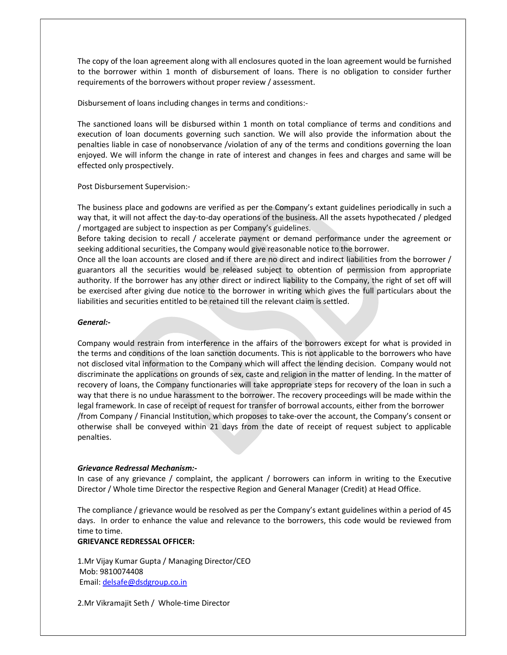The copy of the loan agreement along with all enclosures quoted in the loan agreement would be furnished to the borrower within 1 month of disbursement of loans. There is no obligation to consider further requirements of the borrowers without proper review / assessment.

Disbursement of loans including changes in terms and conditions:-

The sanctioned loans will be disbursed within 1 month on total compliance of terms and conditions and execution of loan documents governing such sanction. We will also provide the information about the penalties liable in case of nonobservance /violation of any of the terms and conditions governing the loan enjoyed. We will inform the change in rate of interest and changes in fees and charges and same will be effected only prospectively.

Post Disbursement Supervision:-

The business place and godowns are verified as per the Company's extant guidelines periodically in such a way that, it will not affect the day-to-day operations of the business. All the assets hypothecated / pledged / mortgaged are subject to inspection as per Company's guidelines.

Before taking decision to recall / accelerate payment or demand performance under the agreement or seeking additional securities, the Company would give reasonable notice to the borrower.

Once all the loan accounts are closed and if there are no direct and indirect liabilities from the borrower / guarantors all the securities would be released subject to obtention of permission from appropriate authority. If the borrower has any other direct or indirect liability to the Company, the right of set off will be exercised after giving due notice to the borrower in writing which gives the full particulars about the liabilities and securities entitled to be retained till the relevant claim is settled.

## General:-

Company would restrain from interference in the affairs of the borrowers except for what is provided in the terms and conditions of the loan sanction documents. This is not applicable to the borrowers who have not disclosed vital information to the Company which will affect the lending decision. Company would not discriminate the applications on grounds of sex, caste and religion in the matter of lending. In the matter of recovery of loans, the Company functionaries will take appropriate steps for recovery of the loan in such a way that there is no undue harassment to the borrower. The recovery proceedings will be made within the legal framework. In case of receipt of request for transfer of borrowal accounts, either from the borrower /from Company / Financial Institution, which proposes to take-over the account, the Company's consent or otherwise shall be conveyed within 21 days from the date of receipt of request subject to applicable penalties.

#### Grievance Redressal Mechanism:-

In case of any grievance / complaint, the applicant / borrowers can inform in writing to the Executive Director / Whole time Director the respective Region and General Manager (Credit) at Head Office.

The compliance / grievance would be resolved as per the Company's extant guidelines within a period of 45 days. In order to enhance the value and relevance to the borrowers, this code would be reviewed from time to time.

# GRIEVANCE REDRESSAL OFFICER:

1.Mr Vijay Kumar Gupta / Managing Director/CEO Mob: 9810074408 Email: delsafe@dsdgroup.co.in

2.Mr Vikramajit Seth / Whole-time Director